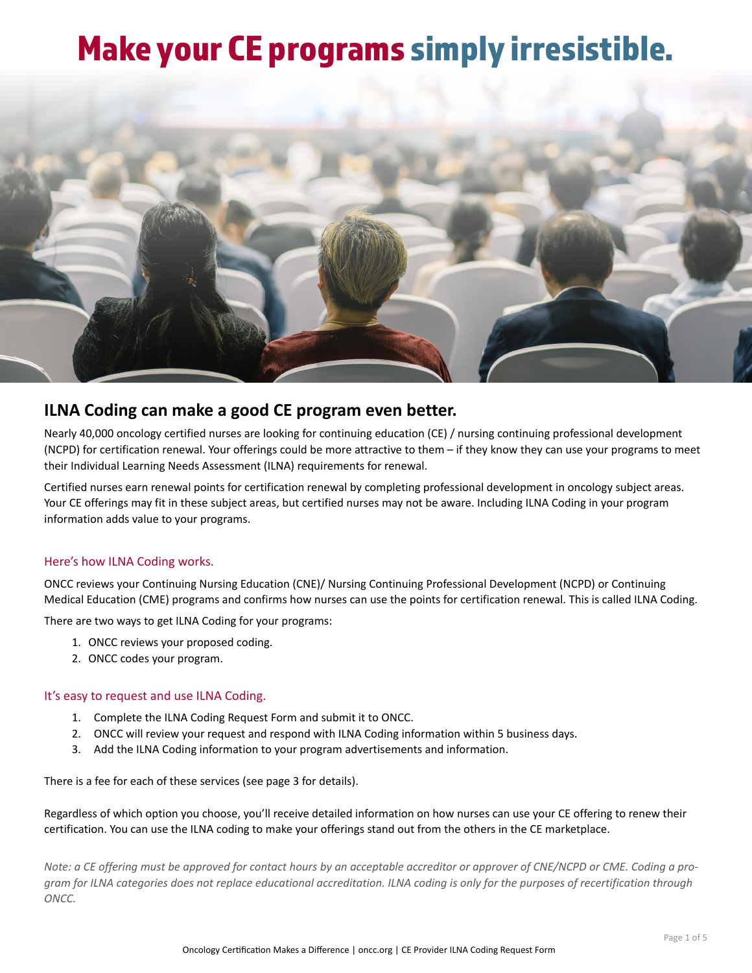# Make your CE programs simply irresistible.



# **ILNA Coding can make a good CE program even better.**

Nearly 40,000 oncology certified nurses are looking for continuing education (CE) / nursing continuing professional development (NCPD) for certification renewal. Your offerings could be more attractive to them – if they know they can use your programs to meet their Individual Learning Needs Assessment (ILNA) requirements for renewal.

Certified nurses earn renewal points for certification renewal by completing professional development in oncology subject areas. Your CE offerings may fit in these subject areas, but certified nurses may not be aware. Including ILNA Coding in your program information adds value to your programs.

# Here's how ILNA Coding works.

ONCC reviews your Continuing Nursing Education (CNE)/ Nursing Continuing Professional Development (NCPD) or Continuing Medical Education (CME) programs and confirms how nurses can use the points for certification renewal. This is called ILNA Coding.

There are two ways to get ILNA Coding for your programs:

- 1. ONCC reviews your proposed coding.
- 2. ONCC codes your program.

## It's easy to request and use ILNA Coding.

- 1. Complete the ILNA Coding Request Form and submit it to ONCC.
- 2. ONCC will review your request and respond with ILNA Coding information within 5 business days.
- 3. Add the ILNA Coding information to your program advertisements and information.

There is a fee for each of these services (see page 3 for details).

Regardless of which option you choose, you'll receive detailed information on how nurses can use your CE offering to renew their certification. You can use the ILNA coding to make your offerings stand out from the others in the CE marketplace.

*Note: a CE offering must be approved for contact hours by an acceptable accreditor or approver of CNE/NCPD or CME. Coding a program for ILNA categories does not replace educational accreditation. ILNA coding is only for the purposes of recertification through ONCC.*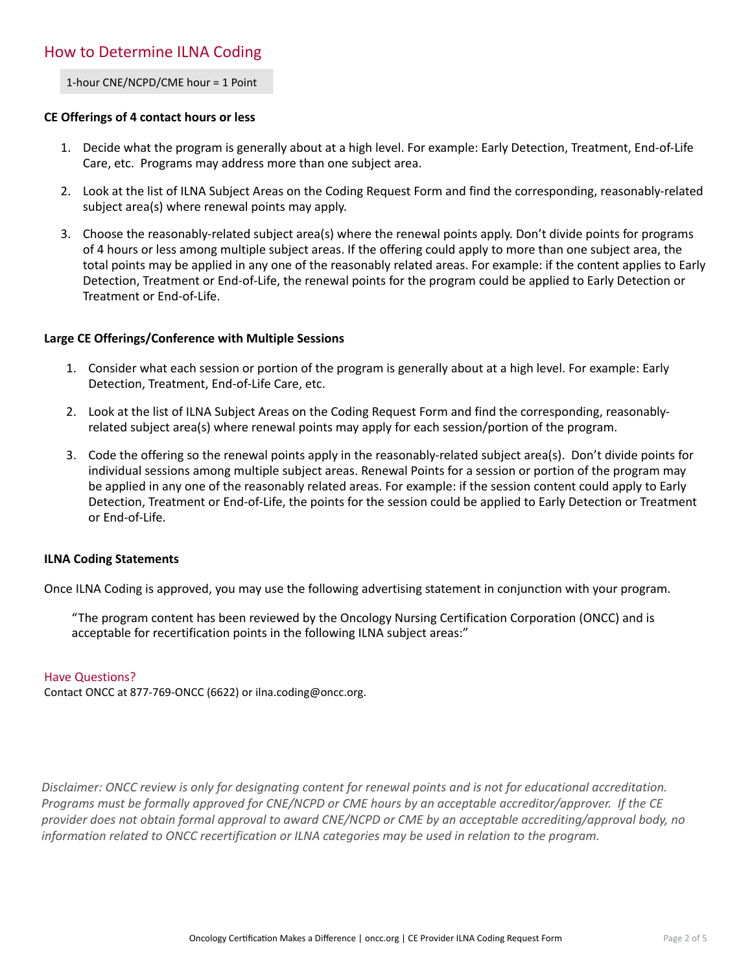1-hour CNE/NCPD/CME hour = 1 Point

# **CE Offerings of 4 contact hours or less**

- 1. Decide what the program is generally about at a high level. For example: Early Detection, Treatment, End-of-Life Care, etc. Programs may address more than one subject area.
- 2. Look at the list of ILNA Subject Areas on the Coding Request Form and find the corresponding, reasonably-related subject area(s) where renewal points may apply.
- 3. Choose the reasonably-related subject area(s) where the renewal points apply. Don't divide points for programs of 4 hours or less among multiple subject areas. If the offering could apply to more than one subject area, the total points may be applied in any one of the reasonably related areas. For example: if the content applies to Early Detection, Treatment or End-of-Life, the renewal points for the program could be applied to Early Detection or Treatment or End-of-Life.

# **Large CE Offerings/Conference with Multiple Sessions**

- 1. Consider what each session or portion of the program is generally about at a high level. For example: Early Detection, Treatment, End-of-Life Care, etc.
- 2. Look at the list of ILNA Subject Areas on the Coding Request Form and find the corresponding, reasonablyrelated subject area(s) where renewal points may apply for each session/portion of the program.
- 3. Code the offering so the renewal points apply in the reasonably-related subject area(s). Don't divide points for individual sessions among multiple subject areas. Renewal Points for a session or portion of the program may be applied in any one of the reasonably related areas. For example: if the session content could apply to Early Detection, Treatment or End-of-Life, the points for the session could be applied to Early Detection or Treatment or End-of-Life.

## **ILNA Coding Statements**

Once ILNA Coding is approved, you may use the following advertising statement in conjunction with your program.

"The program content has been reviewed by the Oncology Nursing Certification Corporation (ONCC) and is acceptable for recertification points in the following ILNA subject areas:"

## Have Questions?

Contact ONCC at 877-769-ONCC (6622) or ilna.coding@oncc.org.

*Disclaimer: ONCC review is only for designating content for renewal points and is not for educational accreditation. Programs must be formally approved for CNE/NCPD or CME hours by an acceptable accreditor/approver. If the CE provider does not obtain formal approval to award CNE/NCPD or CME by an acceptable accrediting/approval body, no information related to ONCC recertification or ILNA categories may be used in relation to the program.*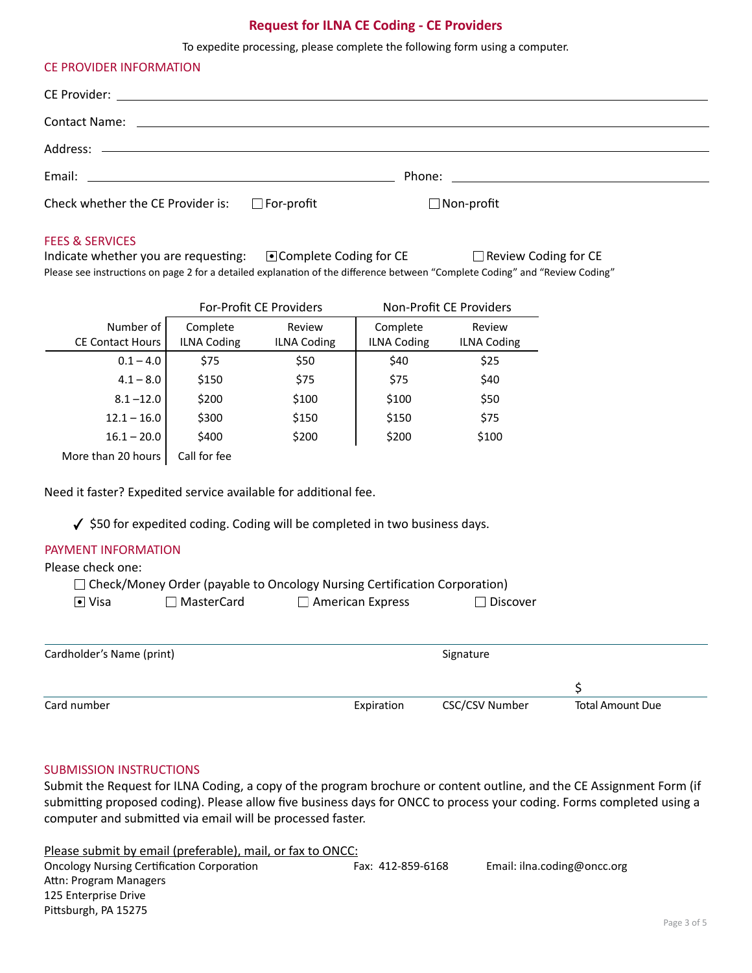# **Request for ILNA CE Coding - CE Providers**

To expedite processing, please complete the following form using a computer.

| CE PROVIDER INFORMATION                                                                              |                   |
|------------------------------------------------------------------------------------------------------|-------------------|
|                                                                                                      |                   |
| Contact Name: with a state of the contact of the contact Name: which is a state of the contact Name: |                   |
|                                                                                                      |                   |
|                                                                                                      |                   |
| Check whether the CE Provider is: $\Box$ For-profit                                                  | $\Box$ Non-profit |

#### FEES & SERVICES

Indicate whether you are requesting:  $\Box$  Complete Coding for CE  $\Box$  Review Coding for CE Please see instructions on page 2 for a detailed explanation of the difference between "Complete Coding" and "Review Coding"

|                         | For-Profit CE Providers |                    |                    | Non-Profit CE Providers |
|-------------------------|-------------------------|--------------------|--------------------|-------------------------|
| Number of               | Complete                | Review             | Complete           | Review                  |
| <b>CE Contact Hours</b> | <b>ILNA Coding</b>      | <b>ILNA Coding</b> | <b>ILNA Coding</b> | <b>ILNA Coding</b>      |
| $0.1 - 4.0$             | \$75                    | \$50               | \$40               | \$25                    |
| $4.1 - 8.0$             | \$150                   | \$75               | \$75               | \$40                    |
| $8.1 - 12.0$            | \$200                   | \$100              | \$100              | \$50                    |
| $12.1 - 16.0$           | \$300                   | \$150              | \$150              | \$75                    |
| $16.1 - 20.0$           | \$400                   | \$200              | \$200              | \$100                   |
| More than 20 hours      | Call for fee            |                    |                    |                         |

Need it faster? Expedited service available for additional fee.

 $\checkmark$  \$50 for expedited coding. Coding will be completed in two business days.

# PAYMENT INFORMATION

## Please check one:

|                              |                   | $\Box$ Check/Money Order (payable to Oncology Nursing Certification Corporation) |                 |
|------------------------------|-------------------|----------------------------------------------------------------------------------|-----------------|
| $\lceil \bullet \rceil$ Visa | $\Box$ MasterCard | $\Box$ American Express                                                          | $\Box$ Discover |

| Cardholder's Name (print) |            | Signature             |                         |
|---------------------------|------------|-----------------------|-------------------------|
|                           |            |                       |                         |
| Card number               | Expiration | <b>CSC/CSV Number</b> | <b>Total Amount Due</b> |

## SUBMISSION INSTRUCTIONS

Submit the Request for ILNA Coding, a copy of the program brochure or content outline, and the CE Assignment Form (if submitting proposed coding). Please allow five business days for ONCC to process your coding. Forms completed using a computer and submitted via email will be processed faster.

Please submit by email (preferable), mail, or fax to ONCC: Oncology Nursing Certification Corporation Fax: 412-859-6168 Email: ilna.coding@oncc.org Attn: Program Managers 125 Enterprise Drive Pittsburgh, PA 15275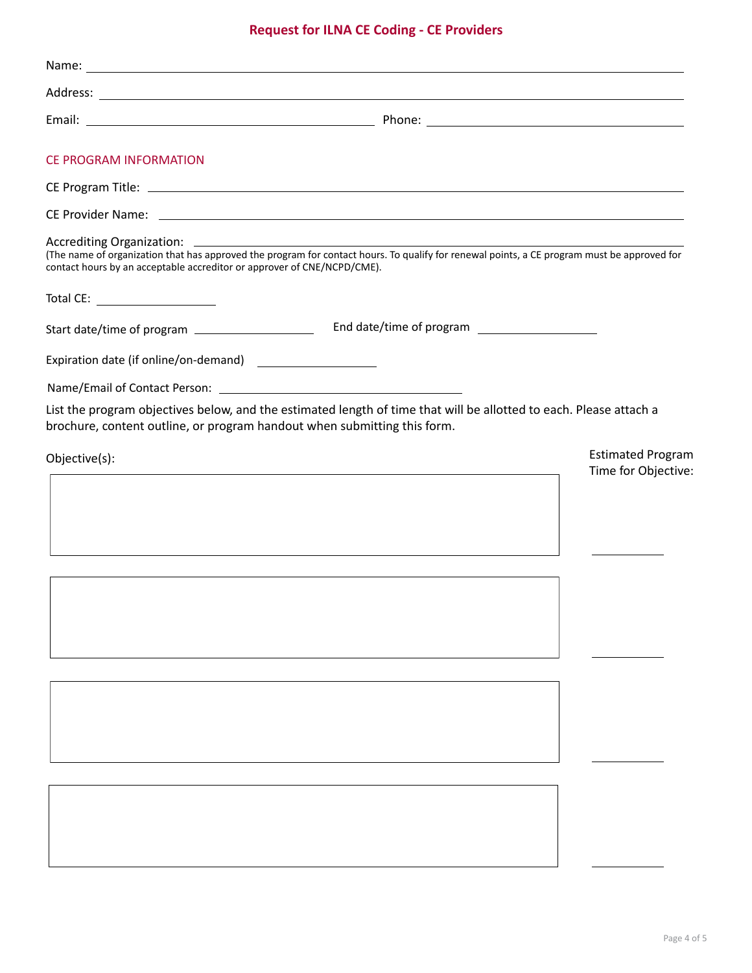# **Request for ILNA CE Coding - CE Providers**

| <b>CE PROGRAM INFORMATION</b>                                                                                                    |                                                                                                                                                                                                                                |  |
|----------------------------------------------------------------------------------------------------------------------------------|--------------------------------------------------------------------------------------------------------------------------------------------------------------------------------------------------------------------------------|--|
|                                                                                                                                  |                                                                                                                                                                                                                                |  |
|                                                                                                                                  | CE Provider Name: We have a state of the state of the state of the state of the state of the state of the state of the state of the state of the state of the state of the state of the state of the state of the state of the |  |
| Accrediting Organization:<br><b>Contract Contract</b><br>contact hours by an acceptable accreditor or approver of CNE/NCPD/CME). | (The name of organization that has approved the program for contact hours. To qualify for renewal points, a CE program must be approved for                                                                                    |  |
| Total CE: ____________________                                                                                                   |                                                                                                                                                                                                                                |  |
| Start date/time of program ____________________                                                                                  |                                                                                                                                                                                                                                |  |
| Expiration date (if online/on-demand)                                                                                            |                                                                                                                                                                                                                                |  |
|                                                                                                                                  |                                                                                                                                                                                                                                |  |
| brochure, content outline, or program handout when submitting this form.                                                         | List the program objectives below, and the estimated length of time that will be allotted to each. Please attach a                                                                                                             |  |
| Objective(s):                                                                                                                    | <b>Estimated Program</b><br>Time for Objective:                                                                                                                                                                                |  |
|                                                                                                                                  |                                                                                                                                                                                                                                |  |
|                                                                                                                                  |                                                                                                                                                                                                                                |  |
|                                                                                                                                  |                                                                                                                                                                                                                                |  |
|                                                                                                                                  |                                                                                                                                                                                                                                |  |
|                                                                                                                                  |                                                                                                                                                                                                                                |  |
|                                                                                                                                  |                                                                                                                                                                                                                                |  |
|                                                                                                                                  |                                                                                                                                                                                                                                |  |
|                                                                                                                                  |                                                                                                                                                                                                                                |  |
|                                                                                                                                  |                                                                                                                                                                                                                                |  |
|                                                                                                                                  |                                                                                                                                                                                                                                |  |
|                                                                                                                                  |                                                                                                                                                                                                                                |  |
|                                                                                                                                  |                                                                                                                                                                                                                                |  |